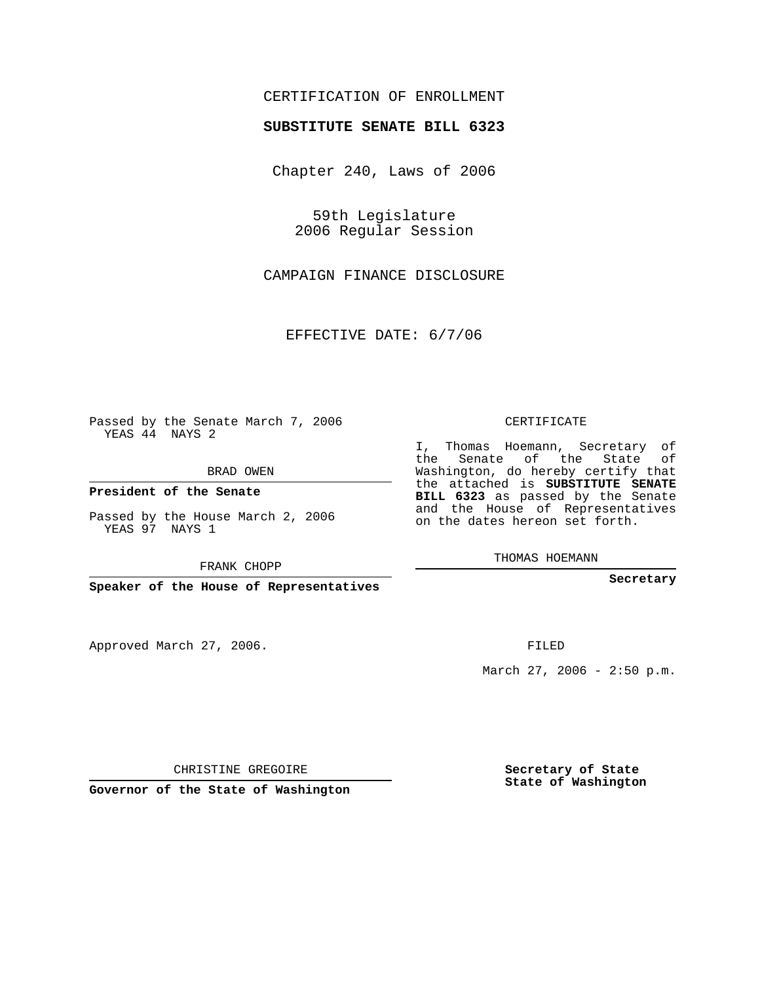## CERTIFICATION OF ENROLLMENT

## **SUBSTITUTE SENATE BILL 6323**

Chapter 240, Laws of 2006

59th Legislature 2006 Regular Session

CAMPAIGN FINANCE DISCLOSURE

EFFECTIVE DATE: 6/7/06

Passed by the Senate March 7, 2006 YEAS 44 NAYS 2

BRAD OWEN

**President of the Senate**

Passed by the House March 2, 2006 YEAS 97 NAYS 1

FRANK CHOPP

**Speaker of the House of Representatives**

Approved March 27, 2006.

CERTIFICATE

I, Thomas Hoemann, Secretary of the Senate of the State of Washington, do hereby certify that the attached is **SUBSTITUTE SENATE BILL 6323** as passed by the Senate and the House of Representatives on the dates hereon set forth.

THOMAS HOEMANN

**Secretary**

FILED

March 27, 2006 - 2:50 p.m.

CHRISTINE GREGOIRE

**Governor of the State of Washington**

**Secretary of State State of Washington**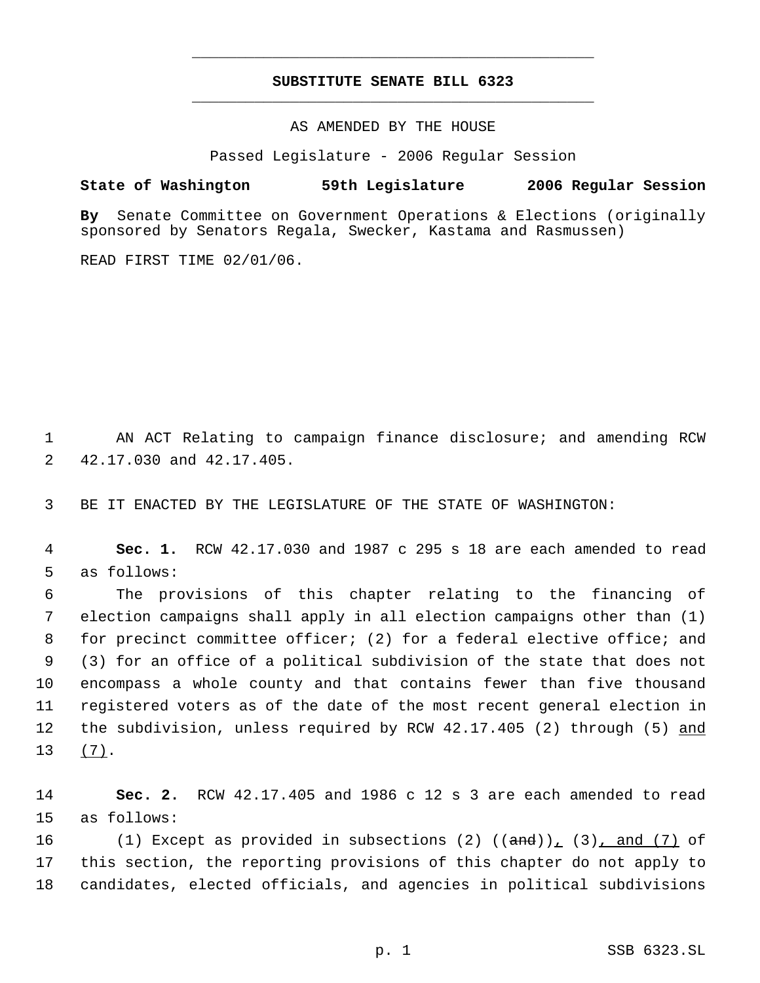## **SUBSTITUTE SENATE BILL 6323** \_\_\_\_\_\_\_\_\_\_\_\_\_\_\_\_\_\_\_\_\_\_\_\_\_\_\_\_\_\_\_\_\_\_\_\_\_\_\_\_\_\_\_\_\_

\_\_\_\_\_\_\_\_\_\_\_\_\_\_\_\_\_\_\_\_\_\_\_\_\_\_\_\_\_\_\_\_\_\_\_\_\_\_\_\_\_\_\_\_\_

AS AMENDED BY THE HOUSE

Passed Legislature - 2006 Regular Session

## **State of Washington 59th Legislature 2006 Regular Session**

**By** Senate Committee on Government Operations & Elections (originally sponsored by Senators Regala, Swecker, Kastama and Rasmussen)

READ FIRST TIME 02/01/06.

 1 AN ACT Relating to campaign finance disclosure; and amending RCW 2 42.17.030 and 42.17.405.

3 BE IT ENACTED BY THE LEGISLATURE OF THE STATE OF WASHINGTON:

 4 **Sec. 1.** RCW 42.17.030 and 1987 c 295 s 18 are each amended to read 5 as follows:

 The provisions of this chapter relating to the financing of election campaigns shall apply in all election campaigns other than (1) for precinct committee officer; (2) for a federal elective office; and (3) for an office of a political subdivision of the state that does not encompass a whole county and that contains fewer than five thousand registered voters as of the date of the most recent general election in 12 the subdivision, unless required by RCW 42.17.405 (2) through (5) and 13 (7).

14 **Sec. 2.** RCW 42.17.405 and 1986 c 12 s 3 are each amended to read 15 as follows:

16  $(1)$  Except as provided in subsections (2)  $((and))_1$  (3), and (7) of 17 this section, the reporting provisions of this chapter do not apply to 18 candidates, elected officials, and agencies in political subdivisions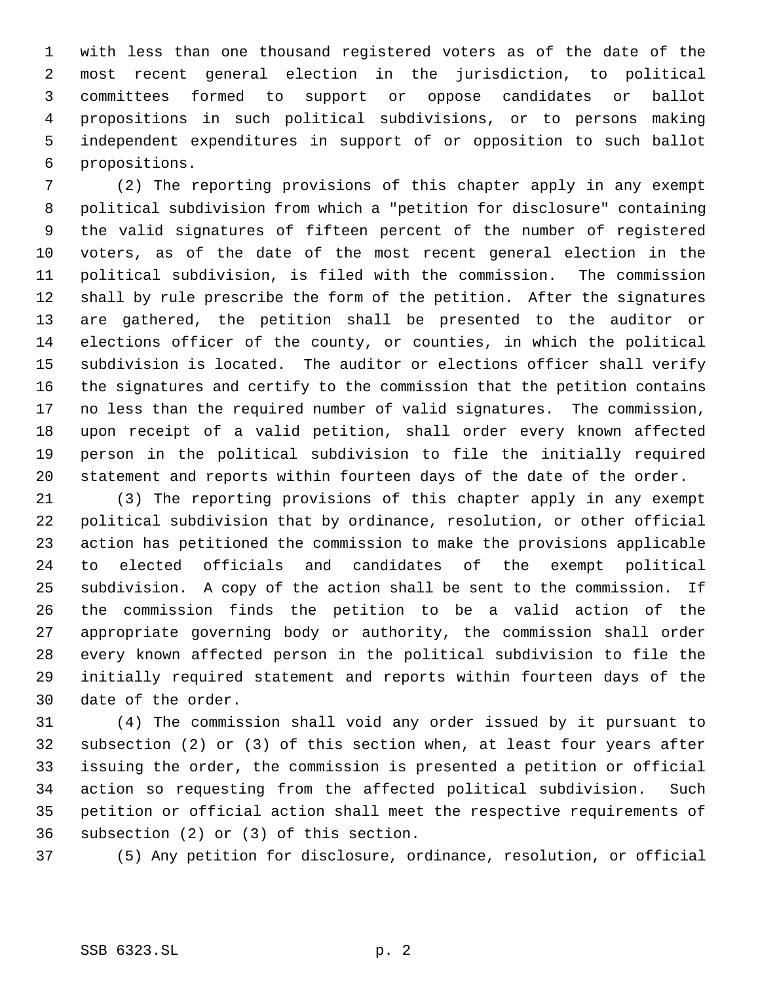with less than one thousand registered voters as of the date of the most recent general election in the jurisdiction, to political committees formed to support or oppose candidates or ballot propositions in such political subdivisions, or to persons making independent expenditures in support of or opposition to such ballot propositions.

 (2) The reporting provisions of this chapter apply in any exempt political subdivision from which a "petition for disclosure" containing the valid signatures of fifteen percent of the number of registered voters, as of the date of the most recent general election in the political subdivision, is filed with the commission. The commission shall by rule prescribe the form of the petition. After the signatures are gathered, the petition shall be presented to the auditor or elections officer of the county, or counties, in which the political subdivision is located. The auditor or elections officer shall verify the signatures and certify to the commission that the petition contains no less than the required number of valid signatures. The commission, upon receipt of a valid petition, shall order every known affected person in the political subdivision to file the initially required statement and reports within fourteen days of the date of the order.

 (3) The reporting provisions of this chapter apply in any exempt political subdivision that by ordinance, resolution, or other official action has petitioned the commission to make the provisions applicable to elected officials and candidates of the exempt political subdivision. A copy of the action shall be sent to the commission. If the commission finds the petition to be a valid action of the appropriate governing body or authority, the commission shall order every known affected person in the political subdivision to file the initially required statement and reports within fourteen days of the date of the order.

 (4) The commission shall void any order issued by it pursuant to subsection (2) or (3) of this section when, at least four years after issuing the order, the commission is presented a petition or official action so requesting from the affected political subdivision. Such petition or official action shall meet the respective requirements of subsection (2) or (3) of this section.

(5) Any petition for disclosure, ordinance, resolution, or official